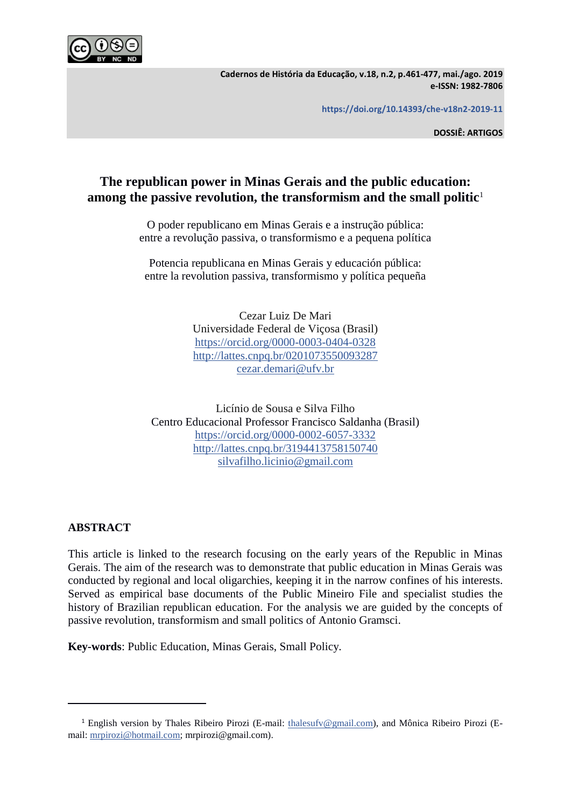

**Cadernos de História da Educação, v.18, n.2, p.461-477, mai./ago. 2019 e-ISSN: 1982-7806**

**https://doi.org/10.14393/che-v18n2-2019-11**

**DOSSIÊ: ARTIGOS**

# **The republican power in Minas Gerais and the public education: among the passive revolution, the transformism and the small politic**<sup>1</sup>

O poder republicano em Minas Gerais e a instrução pública: entre a revolução passiva, o transformismo e a pequena política

Potencia republicana en Minas Gerais y educación pública: entre la revolution passiva, transformismo y política pequeña

> Cezar Luiz De Mari Universidade Federal de Viçosa (Brasil) <https://orcid.org/0000-0003-0404-0328> <http://lattes.cnpq.br/0201073550093287> [cezar.demari@ufv.br](mailto:cezar.demari@ufv.br)

Licínio de Sousa e Silva Filho Centro Educacional Professor Francisco Saldanha (Brasil) <https://orcid.org/0000-0002-6057-3332> <http://lattes.cnpq.br/3194413758150740> [silvafilho.licinio@gmail.com](mailto:silvafilho.licinio@gmail.com)

# **ABSTRACT**

This article is linked to the research focusing on the early years of the Republic in Minas Gerais. The aim of the research was to demonstrate that public education in Minas Gerais was conducted by regional and local oligarchies, keeping it in the narrow confines of his interests. Served as empirical base documents of the Public Mineiro File and specialist studies the history of Brazilian republican education. For the analysis we are guided by the concepts of passive revolution, transformism and small politics of Antonio Gramsci.

**Key-words**: Public Education, Minas Gerais, Small Policy.

<sup>&</sup>lt;sup>1</sup> English version by Thales Ribeiro Pirozi (E-mail: [thalesufv@gmail.com\)](mailto:thalesufv@gmail.com), and Mônica Ribeiro Pirozi (Email: [mrpirozi@hotmail.com;](mailto:mrpirozi@hotmail.com) mrpirozi@gmail.com).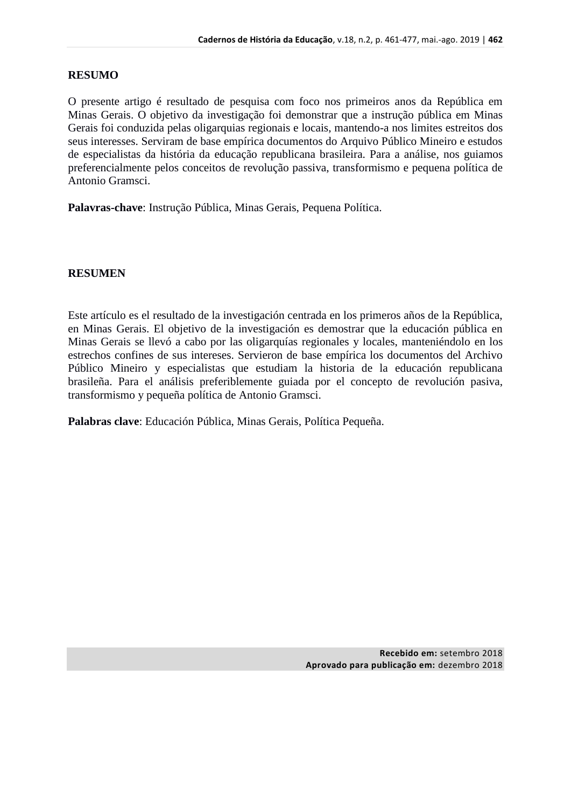# **RESUMO**

O presente artigo é resultado de pesquisa com foco nos primeiros anos da República em Minas Gerais. O objetivo da investigação foi demonstrar que a instrução pública em Minas Gerais foi conduzida pelas oligarquias regionais e locais, mantendo-a nos limites estreitos dos seus interesses. Serviram de base empírica documentos do Arquivo Público Mineiro e estudos de especialistas da história da educação republicana brasileira. Para a análise, nos guiamos preferencialmente pelos conceitos de revolução passiva, transformismo e pequena política de Antonio Gramsci.

**Palavras-chave**: Instrução Pública, Minas Gerais, Pequena Política.

# **RESUMEN**

Este artículo es el resultado de la investigación centrada en los primeros años de la República, en Minas Gerais. El objetivo de la investigación es demostrar que la educación pública en Minas Gerais se llevó a cabo por las oligarquías regionales y locales, manteniéndolo en los estrechos confines de sus intereses. Servieron de base empírica los documentos del Archivo Público Mineiro y especialistas que estudiam la historia de la educación republicana brasileña. Para el análisis preferiblemente guiada por el concepto de revolución pasiva, transformismo y pequeña política de Antonio Gramsci.

**Palabras clave**: Educación Pública, Minas Gerais, Política Pequeña.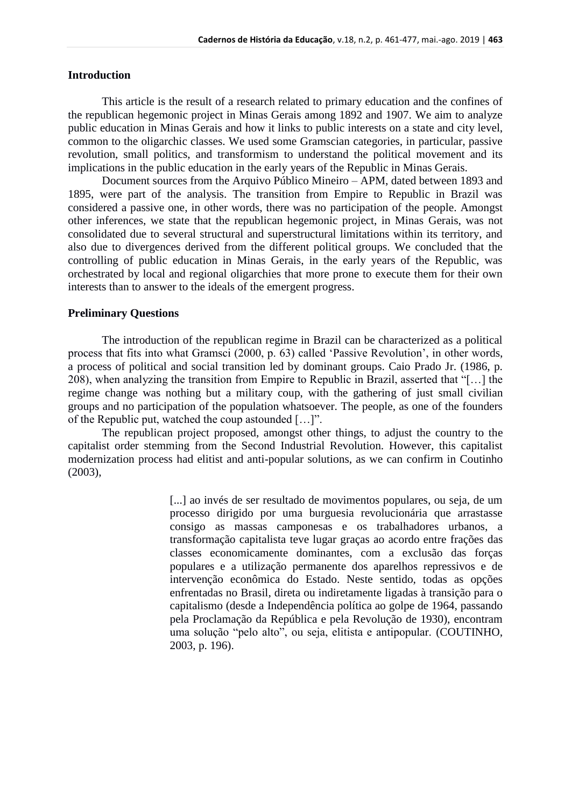### **Introduction**

This article is the result of a research related to primary education and the confines of the republican hegemonic project in Minas Gerais among 1892 and 1907. We aim to analyze public education in Minas Gerais and how it links to public interests on a state and city level, common to the oligarchic classes. We used some Gramscian categories, in particular, passive revolution, small politics, and transformism to understand the political movement and its implications in the public education in the early years of the Republic in Minas Gerais.

Document sources from the Arquivo Público Mineiro – APM, dated between 1893 and 1895, were part of the analysis. The transition from Empire to Republic in Brazil was considered a passive one, in other words, there was no participation of the people. Amongst other inferences, we state that the republican hegemonic project, in Minas Gerais, was not consolidated due to several structural and superstructural limitations within its territory, and also due to divergences derived from the different political groups. We concluded that the controlling of public education in Minas Gerais, in the early years of the Republic, was orchestrated by local and regional oligarchies that more prone to execute them for their own interests than to answer to the ideals of the emergent progress.

# **Preliminary Questions**

The introduction of the republican regime in Brazil can be characterized as a political process that fits into what Gramsci (2000, p. 63) called 'Passive Revolution', in other words, a process of political and social transition led by dominant groups. Caio Prado Jr. (1986, p. 208), when analyzing the transition from Empire to Republic in Brazil, asserted that "[…] the regime change was nothing but a military coup, with the gathering of just small civilian groups and no participation of the population whatsoever. The people, as one of the founders of the Republic put, watched the coup astounded […]".

The republican project proposed, amongst other things, to adjust the country to the capitalist order stemming from the Second Industrial Revolution. However, this capitalist modernization process had elitist and anti-popular solutions, as we can confirm in Coutinho (2003),

> [...] ao invés de ser resultado de movimentos populares, ou seja, de um processo dirigido por uma burguesia revolucionária que arrastasse consigo as massas camponesas e os trabalhadores urbanos, a transformação capitalista teve lugar graças ao acordo entre frações das classes economicamente dominantes, com a exclusão das forças populares e a utilização permanente dos aparelhos repressivos e de intervenção econômica do Estado. Neste sentido, todas as opções enfrentadas no Brasil, direta ou indiretamente ligadas à transição para o capitalismo (desde a Independência política ao golpe de 1964, passando pela Proclamação da República e pela Revolução de 1930), encontram uma solução "pelo alto", ou seja, elitista e antipopular. (COUTINHO, 2003, p. 196).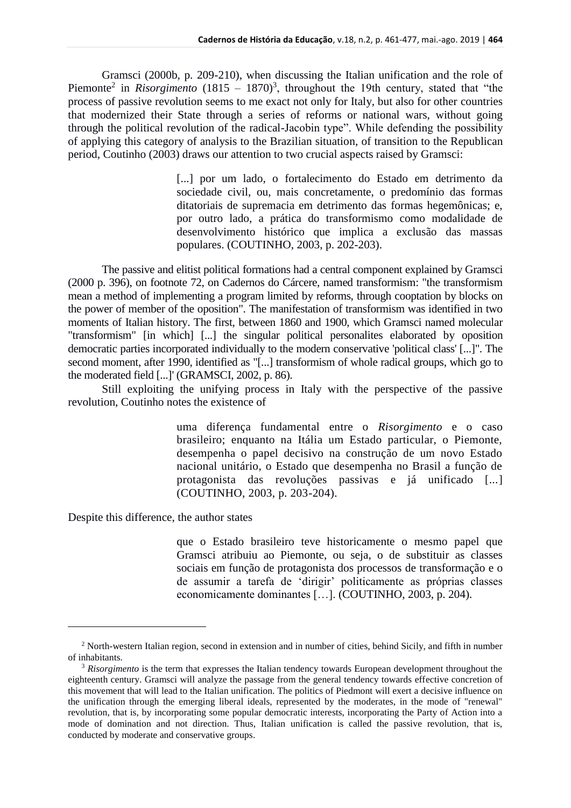Gramsci (2000b, p. 209-210), when discussing the Italian unification and the role of Piemonte<sup>2</sup> in *Risorgimento* (1815 – 1870)<sup>3</sup>, throughout the 19th century, stated that "the process of passive revolution seems to me exact not only for Italy, but also for other countries that modernized their State through a series of reforms or national wars, without going through the political revolution of the radical-Jacobin type". While defending the possibility of applying this category of analysis to the Brazilian situation, of transition to the Republican period, Coutinho (2003) draws our attention to two crucial aspects raised by Gramsci:

> [...] por um lado, o fortalecimento do Estado em detrimento da sociedade civil, ou, mais concretamente, o predomínio das formas ditatoriais de supremacia em detrimento das formas hegemônicas; e, por outro lado, a prática do transformismo como modalidade de desenvolvimento histórico que implica a exclusão das massas populares. (COUTINHO, 2003, p. 202-203).

The passive and elitist political formations had a central component explained by Gramsci (2000 p. 396), on footnote 72, on Cadernos do Cárcere, named transformism: "the transformism mean a method of implementing a program limited by reforms, through cooptation by blocks on the power of member of the oposition". The manifestation of transformism was identified in two moments of Italian history. The first, between 1860 and 1900, which Gramsci named molecular "transformism" [in which] [...] the singular political personalites elaborated by oposition democratic parties incorporated individually to the modern conservative 'political class' [...]". The second moment, after 1990, identified as "[...] transformism of whole radical groups, which go to the moderated field [...]' (GRAMSCI, 2002, p. 86).

Still exploiting the unifying process in Italy with the perspective of the passive revolution, Coutinho notes the existence of

> uma diferença fundamental entre o *Risorgimento* e o caso brasileiro; enquanto na Itália um Estado particular, o Piemonte, desempenha o papel decisivo na construção de um novo Estado nacional unitário, o Estado que desempenha no Brasil a função de protagonista das revoluções passivas e já unificado [...] (COUTINHO, 2003, p. 203-204).

Despite this difference, the author states

que o Estado brasileiro teve historicamente o mesmo papel que Gramsci atribuiu ao Piemonte, ou seja, o de substituir as classes sociais em função de protagonista dos processos de transformação e o de assumir a tarefa de 'dirigir' politicamente as próprias classes economicamente dominantes […]. (COUTINHO, 2003, p. 204).

<sup>2</sup> North-western Italian region, second in extension and in number of cities, behind Sicily, and fifth in number of inhabitants.

<sup>&</sup>lt;sup>3</sup> Risorgimento is the term that expresses the Italian tendency towards European development throughout the eighteenth century. Gramsci will analyze the passage from the general tendency towards effective concretion of this movement that will lead to the Italian unification. The politics of Piedmont will exert a decisive influence on the unification through the emerging liberal ideals, represented by the moderates, in the mode of "renewal" revolution, that is, by incorporating some popular democratic interests, incorporating the Party of Action into a mode of domination and not direction. Thus, Italian unification is called the passive revolution, that is, conducted by moderate and conservative groups.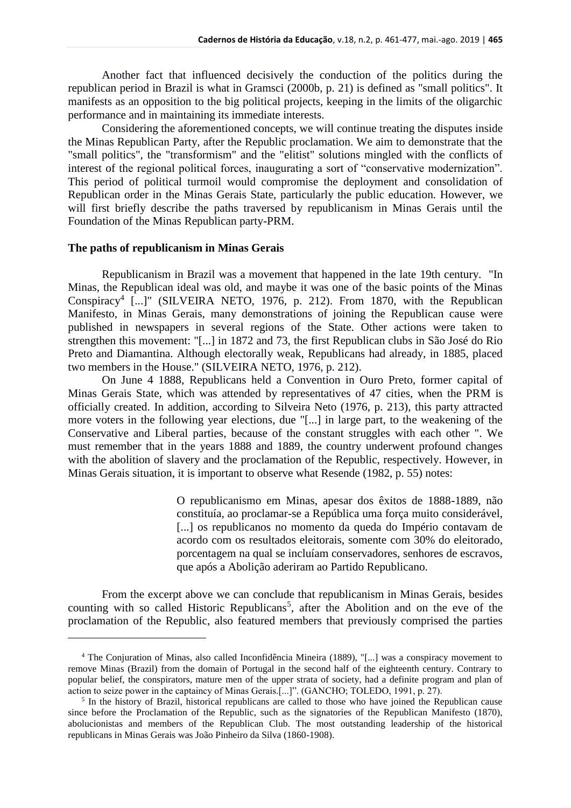Another fact that influenced decisively the conduction of the politics during the republican period in Brazil is what in Gramsci (2000b, p. 21) is defined as "small politics". It manifests as an opposition to the big political projects, keeping in the limits of the oligarchic performance and in maintaining its immediate interests.

 Considering the aforementioned concepts, we will continue treating the disputes inside the Minas Republican Party, after the Republic proclamation. We aim to demonstrate that the "small politics", the "transformism" and the "elitist" solutions mingled with the conflicts of interest of the regional political forces, inaugurating a sort of "conservative modernization". This period of political turmoil would compromise the deployment and consolidation of Republican order in the Minas Gerais State, particularly the public education. However, we will first briefly describe the paths traversed by republicanism in Minas Gerais until the Foundation of the Minas Republican party-PRM.

#### **The paths of republicanism in Minas Gerais**

Republicanism in Brazil was a movement that happened in the late 19th century. "In Minas, the Republican ideal was old, and maybe it was one of the basic points of the Minas Conspiracy<sup>4</sup> [...]" (SILVEIRA NETO, 1976, p. 212). From 1870, with the Republican Manifesto, in Minas Gerais, many demonstrations of joining the Republican cause were published in newspapers in several regions of the State. Other actions were taken to strengthen this movement: "[...] in 1872 and 73, the first Republican clubs in São José do Rio Preto and Diamantina. Although electorally weak, Republicans had already, in 1885, placed two members in the House." (SILVEIRA NETO, 1976, p. 212).

On June 4 1888, Republicans held a Convention in Ouro Preto, former capital of Minas Gerais State, which was attended by representatives of 47 cities, when the PRM is officially created. In addition, according to Silveira Neto (1976, p. 213), this party attracted more voters in the following year elections, due "[...] in large part, to the weakening of the Conservative and Liberal parties, because of the constant struggles with each other ". We must remember that in the years 1888 and 1889, the country underwent profound changes with the abolition of slavery and the proclamation of the Republic, respectively. However, in Minas Gerais situation, it is important to observe what Resende (1982, p. 55) notes:

> O republicanismo em Minas, apesar dos êxitos de 1888-1889, não constituía, ao proclamar-se a República uma força muito considerável, [...] os republicanos no momento da queda do Império contavam de acordo com os resultados eleitorais, somente com 30% do eleitorado, porcentagem na qual se incluíam conservadores, senhores de escravos, que após a Abolição aderiram ao Partido Republicano.

From the excerpt above we can conclude that republicanism in Minas Gerais, besides counting with so called Historic Republicans<sup>5</sup>, after the Abolition and on the eve of the proclamation of the Republic, also featured members that previously comprised the parties

<sup>4</sup> The Conjuration of Minas, also called Inconfidência Mineira (1889), "[...] was a conspiracy movement to remove Minas (Brazil) from the domain of Portugal in the second half of the eighteenth century. Contrary to popular belief, the conspirators, mature men of the upper strata of society, had a definite program and plan of action to seize power in the captaincy of Minas Gerais.[...]". (GANCHO; TOLEDO, 1991, p. 27).

<sup>&</sup>lt;sup>5</sup> In the history of Brazil, historical republicans are called to those who have joined the Republican cause since before the Proclamation of the Republic, such as the signatories of the Republican Manifesto (1870), abolucionistas and members of the Republican Club. The most outstanding leadership of the historical republicans in Minas Gerais was João Pinheiro da Silva (1860-1908).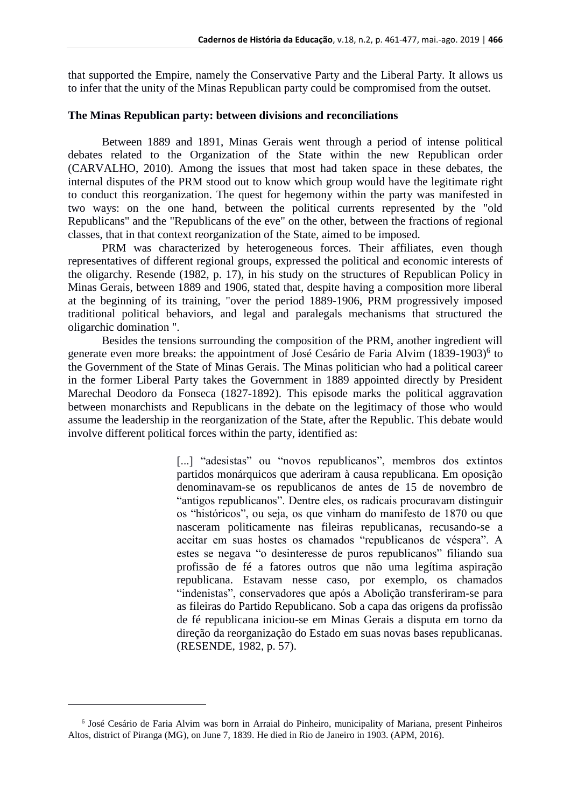that supported the Empire, namely the Conservative Party and the Liberal Party. It allows us to infer that the unity of the Minas Republican party could be compromised from the outset.

#### **The Minas Republican party: between divisions and reconciliations**

Between 1889 and 1891, Minas Gerais went through a period of intense political debates related to the Organization of the State within the new Republican order (CARVALHO, 2010). Among the issues that most had taken space in these debates, the internal disputes of the PRM stood out to know which group would have the legitimate right to conduct this reorganization. The quest for hegemony within the party was manifested in two ways: on the one hand, between the political currents represented by the "old Republicans" and the "Republicans of the eve" on the other, between the fractions of regional classes, that in that context reorganization of the State, aimed to be imposed.

PRM was characterized by heterogeneous forces. Their affiliates, even though representatives of different regional groups, expressed the political and economic interests of the oligarchy. Resende (1982, p. 17), in his study on the structures of Republican Policy in Minas Gerais, between 1889 and 1906, stated that, despite having a composition more liberal at the beginning of its training, "over the period 1889-1906, PRM progressively imposed traditional political behaviors, and legal and paralegals mechanisms that structured the oligarchic domination ".

Besides the tensions surrounding the composition of the PRM, another ingredient will generate even more breaks: the appointment of José Cesário de Faria Alvim (1839-1903)<sup>6</sup> to the Government of the State of Minas Gerais. The Minas politician who had a political career in the former Liberal Party takes the Government in 1889 appointed directly by President Marechal Deodoro da Fonseca (1827-1892). This episode marks the political aggravation between monarchists and Republicans in the debate on the legitimacy of those who would assume the leadership in the reorganization of the State, after the Republic. This debate would involve different political forces within the party, identified as:

> [...] "adesistas" ou "novos republicanos", membros dos extintos partidos monárquicos que aderiram à causa republicana. Em oposição denominavam-se os republicanos de antes de 15 de novembro de "antigos republicanos". Dentre eles, os radicais procuravam distinguir os "históricos", ou seja, os que vinham do manifesto de 1870 ou que nasceram politicamente nas fileiras republicanas, recusando-se a aceitar em suas hostes os chamados "republicanos de véspera". A estes se negava "o desinteresse de puros republicanos" filiando sua profissão de fé a fatores outros que não uma legítima aspiração republicana. Estavam nesse caso, por exemplo, os chamados "indenistas", conservadores que após a Abolição transferiram-se para as fileiras do Partido Republicano. Sob a capa das origens da profissão de fé republicana iniciou-se em Minas Gerais a disputa em torno da direção da reorganização do Estado em suas novas bases republicanas. (RESENDE, 1982, p. 57).

<sup>6</sup> José Cesário de Faria Alvim was born in Arraial do Pinheiro, municipality of Mariana, present Pinheiros Altos, district of Piranga (MG), on June 7, 1839. He died in Rio de Janeiro in 1903. (APM, 2016).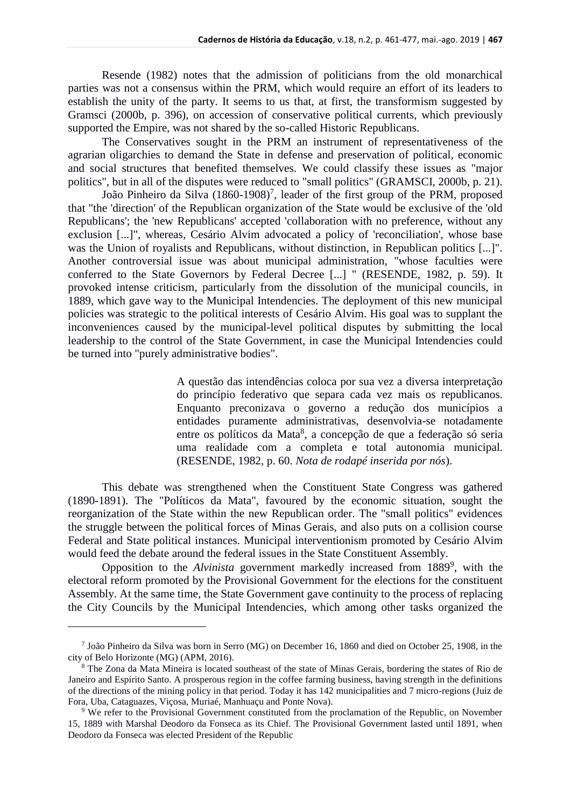Resende (1982) notes that the admission of politicians from the old monarchical parties was not a consensus within the PRM, which would require an effort of its leaders to establish the unity of the party. It seems to us that, at first, the transformism suggested by Gramsci (2000b, p. 396), on accession of conservative political currents, which previously supported the Empire, was not shared by the so-called Historic Republicans.

The Conservatives sought in the PRM an instrument of representativeness of the agrarian oligarchies to demand the State in defense and preservation of political, economic and social structures that benefited themselves. We could classify these issues as "major politics", but in all of the disputes were reduced to "small politics" (GRAMSCI, 2000b, p. 21).

João Pinheiro da Silva (1860-1908)<sup>7</sup>, leader of the first group of the PRM, proposed that "the 'direction' of the Republican organization of the State would be exclusive of the 'old Republicans'; the 'new Republicans' accepted 'collaboration with no preference, without any exclusion [...]", whereas, Cesário Alvim advocated a policy of 'reconciliation', whose base was the Union of royalists and Republicans, without distinction, in Republican politics [...]". Another controversial issue was about municipal administration, "whose faculties were conferred to the State Governors by Federal Decree [...] " (RESENDE, 1982, p. 59). It provoked intense criticism, particularly from the dissolution of the municipal councils, in 1889, which gave way to the Municipal Intendencies. The deployment of this new municipal policies was strategic to the political interests of Cesário Alvim. His goal was to supplant the inconveniences caused by the municipal-level political disputes by submitting the local leadership to the control of the State Government, in case the Municipal Intendencies could be turned into "purely administrative bodies".

> A questão das intendências coloca por sua vez a diversa interpretação do princípio federativo que separa cada vez mais os republicanos. Enquanto preconizava o governo a redução dos municípios a entidades puramente administrativas, desenvolvia-se notadamente entre os políticos da Mata<sup>8</sup>, a concepção de que a federação só seria uma realidade com a completa e total autonomia municipal. (RESENDE, 1982, p. 60. *Nota de rodapé inserida por nós*).

This debate was strengthened when the Constituent State Congress was gathered (1890-1891). The "Políticos da Mata", favoured by the economic situation, sought the reorganization of the State within the new Republican order. The "small politics" evidences the struggle between the political forces of Minas Gerais, and also puts on a collision course Federal and State political instances. Municipal interventionism promoted by Cesário Alvim would feed the debate around the federal issues in the State Constituent Assembly.

Opposition to the *Alvinista* government markedly increased from 1889<sup>9</sup>, with the electoral reform promoted by the Provisional Government for the elections for the constituent Assembly. At the same time, the State Government gave continuity to the process of replacing the City Councils by the Municipal Intendencies, which among other tasks organized the

<sup>7</sup> João Pinheiro da Silva was born in Serro (MG) on December 16, 1860 and died on October 25, 1908, in the city of Belo Horizonte (MG) (APM, 2016).

<sup>8</sup> The Zona da Mata Mineira is located southeast of the state of Minas Gerais, bordering the states of Rio de Janeiro and Espírito Santo. A prosperous region in the coffee farming business, having strength in the definitions of the directions of the mining policy in that period. Today it has 142 municipalities and 7 micro-regions (Juiz de Fora, Uba, Cataguazes, Viçosa, Muriaé, Manhuaçu and Ponte Nova).

<sup>&</sup>lt;sup>9</sup> We refer to the Provisional Government constituted from the proclamation of the Republic, on November 15, 1889 with Marshal Deodoro da Fonseca as its Chief. The Provisional Government lasted until 1891, when Deodoro da Fonseca was elected President of the Republic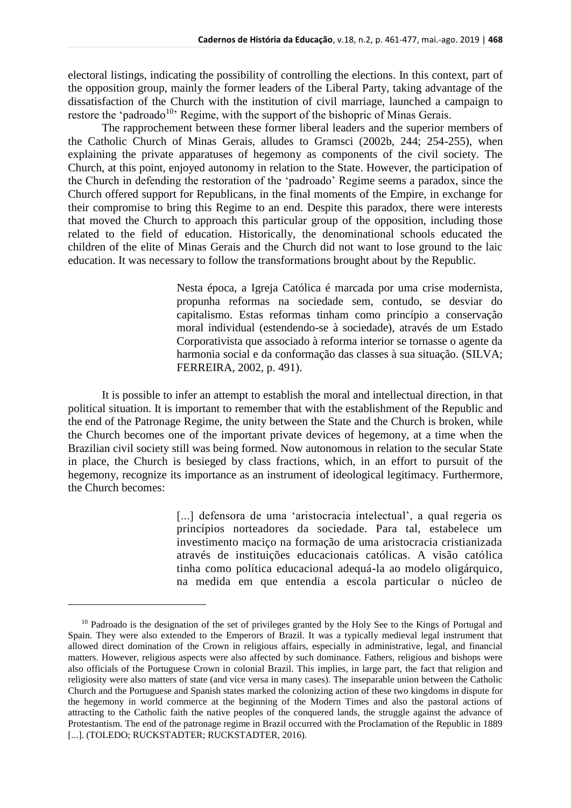electoral listings, indicating the possibility of controlling the elections. In this context, part of the opposition group, mainly the former leaders of the Liberal Party, taking advantage of the dissatisfaction of the Church with the institution of civil marriage, launched a campaign to restore the 'padroado<sup>10</sup>' Regime, with the support of the bishopric of Minas Gerais.

The rapprochement between these former liberal leaders and the superior members of the Catholic Church of Minas Gerais, alludes to Gramsci (2002b, 244; 254-255), when explaining the private apparatuses of hegemony as components of the civil society. The Church, at this point, enjoyed autonomy in relation to the State. However, the participation of the Church in defending the restoration of the 'padroado' Regime seems a paradox, since the Church offered support for Republicans, in the final moments of the Empire, in exchange for their compromise to bring this Regime to an end. Despite this paradox, there were interests that moved the Church to approach this particular group of the opposition, including those related to the field of education. Historically, the denominational schools educated the children of the elite of Minas Gerais and the Church did not want to lose ground to the laic education. It was necessary to follow the transformations brought about by the Republic.

> Nesta época, a Igreja Católica é marcada por uma crise modernista, propunha reformas na sociedade sem, contudo, se desviar do capitalismo. Estas reformas tinham como princípio a conservação moral individual (estendendo-se à sociedade), através de um Estado Corporativista que associado à reforma interior se tornasse o agente da harmonia social e da conformação das classes à sua situação. (SILVA; FERREIRA, 2002, p. 491).

It is possible to infer an attempt to establish the moral and intellectual direction, in that political situation. It is important to remember that with the establishment of the Republic and the end of the Patronage Regime, the unity between the State and the Church is broken, while the Church becomes one of the important private devices of hegemony, at a time when the Brazilian civil society still was being formed. Now autonomous in relation to the secular State in place, the Church is besieged by class fractions, which, in an effort to pursuit of the hegemony, recognize its importance as an instrument of ideological legitimacy. Furthermore, the Church becomes:

> [...] defensora de uma 'aristocracia intelectual', a qual regeria os princípios norteadores da sociedade. Para tal, estabelece um investimento maciço na formação de uma aristocracia cristianizada através de instituições educacionais católicas. A visão católica tinha como política educacional adequá-la ao modelo oligárquico, na medida em que entendia a escola particular o núcleo de

<sup>&</sup>lt;sup>10</sup> Padroado is the designation of the set of privileges granted by the Holy See to the Kings of Portugal and Spain. They were also extended to the Emperors of Brazil. It was a typically medieval legal instrument that allowed direct domination of the Crown in religious affairs, especially in administrative, legal, and financial matters. However, religious aspects were also affected by such dominance. Fathers, religious and bishops were also officials of the Portuguese Crown in colonial Brazil. This implies, in large part, the fact that religion and religiosity were also matters of state (and vice versa in many cases). The inseparable union between the Catholic Church and the Portuguese and Spanish states marked the colonizing action of these two kingdoms in dispute for the hegemony in world commerce at the beginning of the Modern Times and also the pastoral actions of attracting to the Catholic faith the native peoples of the conquered lands, the struggle against the advance of Protestantism. The end of the patronage regime in Brazil occurred with the Proclamation of the Republic in 1889 [...]. (TOLEDO; RUCKSTADTER; RUCKSTADTER, 2016).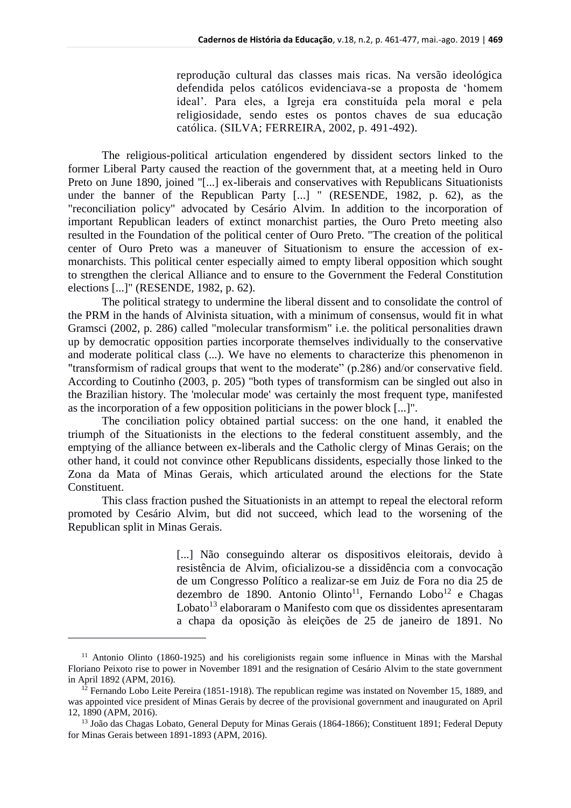reprodução cultural das classes mais ricas. Na versão ideológica defendida pelos católicos evidenciava-se a proposta de 'homem ideal'. Para eles, a Igreja era constituída pela moral e pela religiosidade, sendo estes os pontos chaves de sua educação católica. (SILVA; FERREIRA, 2002, p. 491-492).

The religious-political articulation engendered by dissident sectors linked to the former Liberal Party caused the reaction of the government that, at a meeting held in Ouro Preto on June 1890, joined "[...] ex-liberais and conservatives with Republicans Situationists under the banner of the Republican Party [...] " (RESENDE, 1982, p. 62), as the "reconciliation policy" advocated by Cesário Alvim. In addition to the incorporation of important Republican leaders of extinct monarchist parties, the Ouro Preto meeting also resulted in the Foundation of the political center of Ouro Preto. "The creation of the political center of Ouro Preto was a maneuver of Situationism to ensure the accession of exmonarchists. This political center especially aimed to empty liberal opposition which sought to strengthen the clerical Alliance and to ensure to the Government the Federal Constitution elections [...]" (RESENDE, 1982, p. 62).

The political strategy to undermine the liberal dissent and to consolidate the control of the PRM in the hands of Alvinista situation, with a minimum of consensus, would fit in what Gramsci (2002, p. 286) called "molecular transformism" i.e. the political personalities drawn up by democratic opposition parties incorporate themselves individually to the conservative and moderate political class (...). We have no elements to characterize this phenomenon in "transformism of radical groups that went to the moderate" (p.286) and/or conservative field. According to Coutinho (2003, p. 205) "both types of transformism can be singled out also in the Brazilian history. The 'molecular mode' was certainly the most frequent type, manifested as the incorporation of a few opposition politicians in the power block [...]".

The conciliation policy obtained partial success: on the one hand, it enabled the triumph of the Situationists in the elections to the federal constituent assembly, and the emptying of the alliance between ex-liberals and the Catholic clergy of Minas Gerais; on the other hand, it could not convince other Republicans dissidents, especially those linked to the Zona da Mata of Minas Gerais, which articulated around the elections for the State Constituent.

This class fraction pushed the Situationists in an attempt to repeal the electoral reform promoted by Cesário Alvim, but did not succeed, which lead to the worsening of the Republican split in Minas Gerais.

> [...] Não conseguindo alterar os dispositivos eleitorais, devido à resistência de Alvim, oficializou-se a dissidência com a convocação de um Congresso Político a realizar-se em Juiz de Fora no dia 25 de dezembro de 1890. Antonio Olinto<sup>11</sup>, Fernando Lobo<sup>12</sup> e Chagas Lobato<sup>13</sup> elaboraram o Manifesto com que os dissidentes apresentaram a chapa da oposição às eleições de 25 de janeiro de 1891. No

<sup>11</sup> Antonio Olinto (1860-1925) and his coreligionists regain some influence in Minas with the Marshal Floriano Peixoto rise to power in November 1891 and the resignation of Cesário Alvim to the state government in April 1892 (APM, 2016).

 $12$  Fernando Lobo Leite Pereira (1851-1918). The republican regime was instated on November 15, 1889, and was appointed vice president of Minas Gerais by decree of the provisional government and inaugurated on April 12, 1890 (APM, 2016).

<sup>&</sup>lt;sup>13</sup> João das Chagas Lobato, General Deputy for Minas Gerais (1864-1866); Constituent 1891; Federal Deputy for Minas Gerais between 1891-1893 (APM, 2016).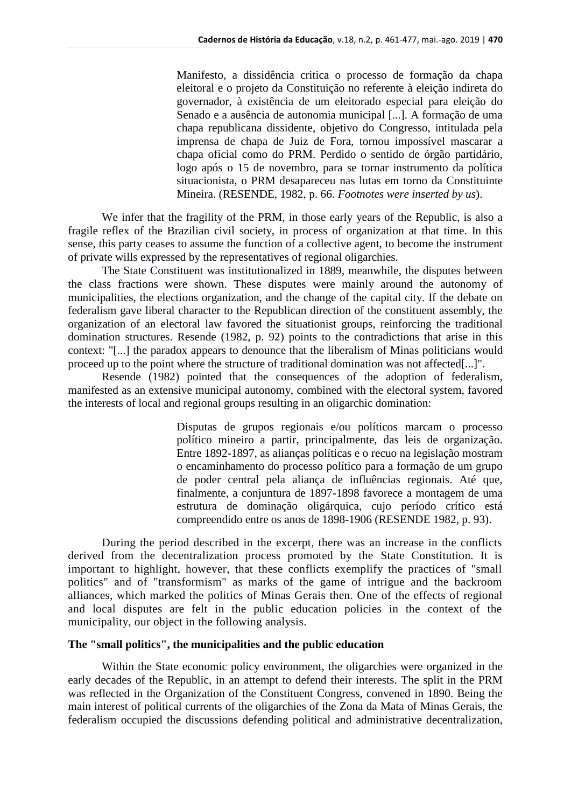Manifesto, a dissidência critica o processo de formação da chapa eleitoral e o projeto da Constituição no referente à eleição indireta do governador, à existência de um eleitorado especial para eleição do Senado e a ausência de autonomia municipal [...]. A formação de uma chapa republicana dissidente, objetivo do Congresso, intitulada pela imprensa de chapa de Juiz de Fora, tornou impossível mascarar a chapa oficial como do PRM. Perdido o sentido de órgão partidário, logo após o 15 de novembro, para se tornar instrumento da política situacionista, o PRM desapareceu nas lutas em torno da Constituinte Mineira. (RESENDE, 1982, p. 66. *Footnotes were inserted by us*).

We infer that the fragility of the PRM, in those early years of the Republic, is also a fragile reflex of the Brazilian civil society, in process of organization at that time. In this sense, this party ceases to assume the function of a collective agent, to become the instrument of private wills expressed by the representatives of regional oligarchies.

The State Constituent was institutionalized in 1889, meanwhile, the disputes between the class fractions were shown. These disputes were mainly around the autonomy of municipalities, the elections organization, and the change of the capital city. If the debate on federalism gave liberal character to the Republican direction of the constituent assembly, the organization of an electoral law favored the situationist groups, reinforcing the traditional domination structures. Resende (1982, p. 92) points to the contradictions that arise in this context: "[...] the paradox appears to denounce that the liberalism of Minas politicians would proceed up to the point where the structure of traditional domination was not affected[...]".

Resende (1982) pointed that the consequences of the adoption of federalism, manifested as an extensive municipal autonomy, combined with the electoral system, favored the interests of local and regional groups resulting in an oligarchic domination:

> Disputas de grupos regionais e/ou políticos marcam o processo político mineiro a partir, principalmente, das leis de organização. Entre 1892-1897, as alianças políticas e o recuo na legislação mostram o encaminhamento do processo político para a formação de um grupo de poder central pela aliança de influências regionais. Até que, finalmente, a conjuntura de 1897-1898 favorece a montagem de uma estrutura de dominação oligárquica, cujo período crítico está compreendido entre os anos de 1898-1906 (RESENDE 1982, p. 93).

During the period described in the excerpt, there was an increase in the conflicts derived from the decentralization process promoted by the State Constitution. It is important to highlight, however, that these conflicts exemplify the practices of "small politics" and of "transformism" as marks of the game of intrigue and the backroom alliances, which marked the politics of Minas Gerais then. One of the effects of regional and local disputes are felt in the public education policies in the context of the municipality, our object in the following analysis.

#### **The "small politics", the municipalities and the public education**

Within the State economic policy environment, the oligarchies were organized in the early decades of the Republic, in an attempt to defend their interests. The split in the PRM was reflected in the Organization of the Constituent Congress, convened in 1890. Being the main interest of political currents of the oligarchies of the Zona da Mata of Minas Gerais, the federalism occupied the discussions defending political and administrative decentralization,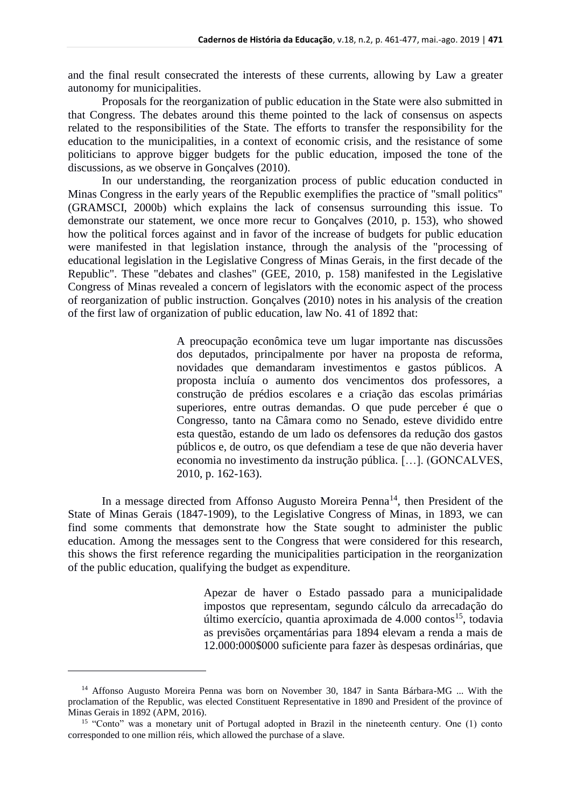and the final result consecrated the interests of these currents, allowing by Law a greater autonomy for municipalities.

Proposals for the reorganization of public education in the State were also submitted in that Congress. The debates around this theme pointed to the lack of consensus on aspects related to the responsibilities of the State. The efforts to transfer the responsibility for the education to the municipalities, in a context of economic crisis, and the resistance of some politicians to approve bigger budgets for the public education, imposed the tone of the discussions, as we observe in Gonçalves (2010).

In our understanding, the reorganization process of public education conducted in Minas Congress in the early years of the Republic exemplifies the practice of "small politics" (GRAMSCI, 2000b) which explains the lack of consensus surrounding this issue. To demonstrate our statement, we once more recur to Gonçalves (2010, p. 153), who showed how the political forces against and in favor of the increase of budgets for public education were manifested in that legislation instance, through the analysis of the "processing of educational legislation in the Legislative Congress of Minas Gerais, in the first decade of the Republic". These "debates and clashes" (GEE, 2010, p. 158) manifested in the Legislative Congress of Minas revealed a concern of legislators with the economic aspect of the process of reorganization of public instruction. Gonçalves (2010) notes in his analysis of the creation of the first law of organization of public education, law No. 41 of 1892 that:

> A preocupação econômica teve um lugar importante nas discussões dos deputados, principalmente por haver na proposta de reforma, novidades que demandaram investimentos e gastos públicos. A proposta incluía o aumento dos vencimentos dos professores, a construção de prédios escolares e a criação das escolas primárias superiores, entre outras demandas. O que pude perceber é que o Congresso, tanto na Câmara como no Senado, esteve dividido entre esta questão, estando de um lado os defensores da redução dos gastos públicos e, de outro, os que defendiam a tese de que não deveria haver economia no investimento da instrução pública. […]. (GONCALVES, 2010, p. 162-163).

In a message directed from Affonso Augusto Moreira Penna<sup>14</sup>, then President of the State of Minas Gerais (1847-1909), to the Legislative Congress of Minas, in 1893, we can find some comments that demonstrate how the State sought to administer the public education. Among the messages sent to the Congress that were considered for this research, this shows the first reference regarding the municipalities participation in the reorganization of the public education, qualifying the budget as expenditure.

> Apezar de haver o Estado passado para a municipalidade impostos que representam, segundo cálculo da arrecadação do último exercício, quantia aproximada de  $4.000 \text{ contos}^{15}$ , todavia as previsões orçamentárias para 1894 elevam a renda a mais de 12.000:000\$000 suficiente para fazer às despesas ordinárias, que

<sup>&</sup>lt;sup>14</sup> Affonso Augusto Moreira Penna was born on November 30, 1847 in Santa Bárbara-MG ... With the proclamation of the Republic, was elected Constituent Representative in 1890 and President of the province of Minas Gerais in 1892 (APM, 2016).

<sup>&</sup>lt;sup>15</sup> "Conto" was a monetary unit of Portugal adopted in Brazil in the nineteenth century. One (1) conto corresponded to one million réis, which allowed the purchase of a slave.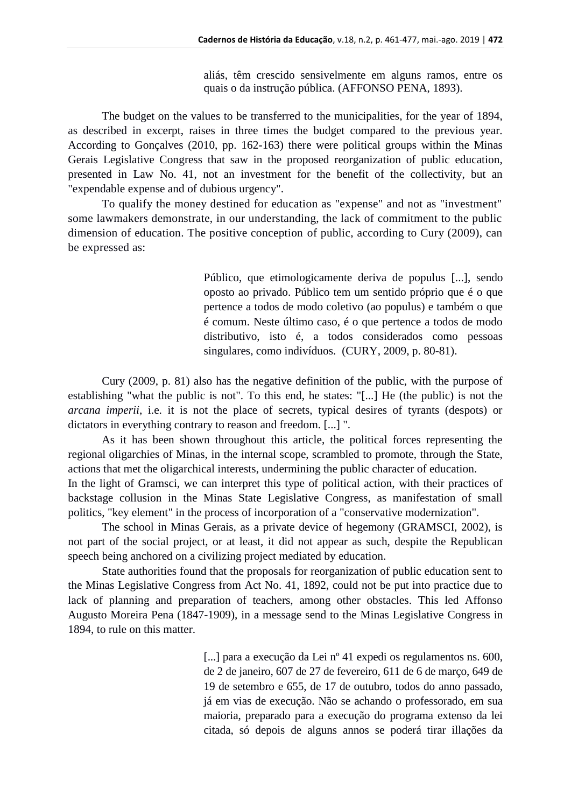aliás, têm crescido sensivelmente em alguns ramos, entre os quais o da instrução pública. (AFFONSO PENA, 1893).

The budget on the values to be transferred to the municipalities, for the year of 1894, as described in excerpt, raises in three times the budget compared to the previous year. According to Gonçalves (2010, pp. 162-163) there were political groups within the Minas Gerais Legislative Congress that saw in the proposed reorganization of public education, presented in Law No. 41, not an investment for the benefit of the collectivity, but an "expendable expense and of dubious urgency".

To qualify the money destined for education as "expense" and not as "investment" some lawmakers demonstrate, in our understanding, the lack of commitment to the public dimension of education. The positive conception of public, according to Cury (2009), can be expressed as:

> Público, que etimologicamente deriva de populus [...], sendo oposto ao privado. Público tem um sentido próprio que é o que pertence a todos de modo coletivo (ao populus) e também o que é comum. Neste último caso, é o que pertence a todos de modo distributivo, isto é, a todos considerados como pessoas singulares, como indivíduos. (CURY, 2009, p. 80-81).

Cury (2009, p. 81) also has the negative definition of the public, with the purpose of establishing "what the public is not". To this end, he states: "[...] He (the public) is not the *arcana imperii*, i.e. it is not the place of secrets, typical desires of tyrants (despots) or dictators in everything contrary to reason and freedom. [...] ".

As it has been shown throughout this article, the political forces representing the regional oligarchies of Minas, in the internal scope, scrambled to promote, through the State, actions that met the oligarchical interests, undermining the public character of education. In the light of Gramsci, we can interpret this type of political action, with their practices of backstage collusion in the Minas State Legislative Congress, as manifestation of small politics, "key element" in the process of incorporation of a "conservative modernization".

The school in Minas Gerais, as a private device of hegemony (GRAMSCI, 2002), is not part of the social project, or at least, it did not appear as such, despite the Republican speech being anchored on a civilizing project mediated by education.

State authorities found that the proposals for reorganization of public education sent to the Minas Legislative Congress from Act No. 41, 1892, could not be put into practice due to lack of planning and preparation of teachers, among other obstacles. This led Affonso Augusto Moreira Pena (1847-1909), in a message send to the Minas Legislative Congress in 1894, to rule on this matter.

> [...] para a execução da Lei nº 41 expedi os regulamentos ns. 600, de 2 de janeiro, 607 de 27 de fevereiro, 611 de 6 de março, 649 de 19 de setembro e 655, de 17 de outubro, todos do anno passado, já em vias de execução. Não se achando o professorado, em sua maioria, preparado para a execução do programa extenso da lei citada, só depois de alguns annos se poderá tirar illações da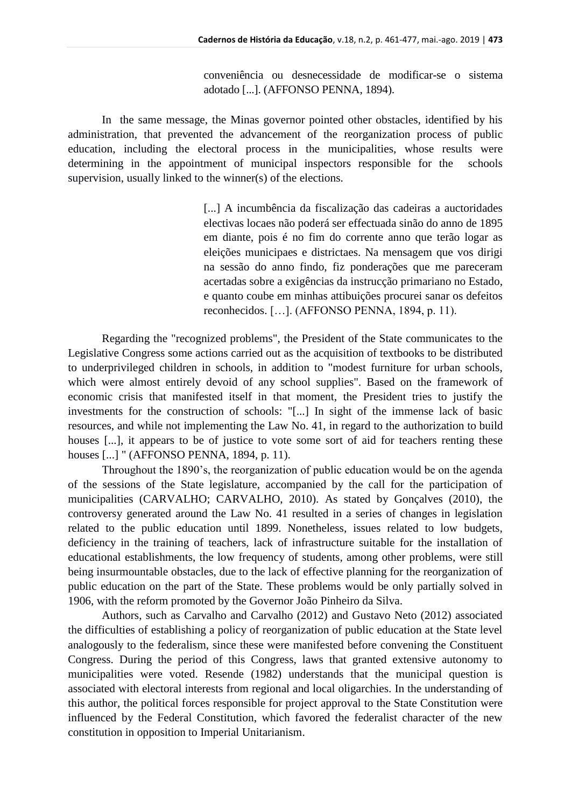conveniência ou desnecessidade de modificar-se o sistema adotado [...]. (AFFONSO PENNA, 1894).

In the same message, the Minas governor pointed other obstacles, identified by his administration, that prevented the advancement of the reorganization process of public education, including the electoral process in the municipalities, whose results were determining in the appointment of municipal inspectors responsible for the schools supervision, usually linked to the winner(s) of the elections.

> [...] A incumbência da fiscalização das cadeiras a auctoridades electivas locaes não poderá ser effectuada sinão do anno de 1895 em diante, pois é no fim do corrente anno que terão logar as eleições municipaes e districtaes. Na mensagem que vos dirigi na sessão do anno findo, fiz ponderações que me pareceram acertadas sobre a exigências da instrucção primariano no Estado, e quanto coube em minhas attibuições procurei sanar os defeitos reconhecidos. […]. (AFFONSO PENNA, 1894, p. 11).

Regarding the "recognized problems", the President of the State communicates to the Legislative Congress some actions carried out as the acquisition of textbooks to be distributed to underprivileged children in schools, in addition to "modest furniture for urban schools, which were almost entirely devoid of any school supplies". Based on the framework of economic crisis that manifested itself in that moment, the President tries to justify the investments for the construction of schools: "[...] In sight of the immense lack of basic resources, and while not implementing the Law No. 41, in regard to the authorization to build houses [...], it appears to be of justice to vote some sort of aid for teachers renting these houses [...] " (AFFONSO PENNA, 1894, p. 11).

Throughout the 1890's, the reorganization of public education would be on the agenda of the sessions of the State legislature, accompanied by the call for the participation of municipalities (CARVALHO; CARVALHO, 2010). As stated by Gonçalves (2010), the controversy generated around the Law No. 41 resulted in a series of changes in legislation related to the public education until 1899. Nonetheless, issues related to low budgets, deficiency in the training of teachers, lack of infrastructure suitable for the installation of educational establishments, the low frequency of students, among other problems, were still being insurmountable obstacles, due to the lack of effective planning for the reorganization of public education on the part of the State. These problems would be only partially solved in 1906, with the reform promoted by the Governor João Pinheiro da Silva.

Authors, such as Carvalho and Carvalho (2012) and Gustavo Neto (2012) associated the difficulties of establishing a policy of reorganization of public education at the State level analogously to the federalism, since these were manifested before convening the Constituent Congress. During the period of this Congress, laws that granted extensive autonomy to municipalities were voted. Resende (1982) understands that the municipal question is associated with electoral interests from regional and local oligarchies. In the understanding of this author, the political forces responsible for project approval to the State Constitution were influenced by the Federal Constitution, which favored the federalist character of the new constitution in opposition to Imperial Unitarianism.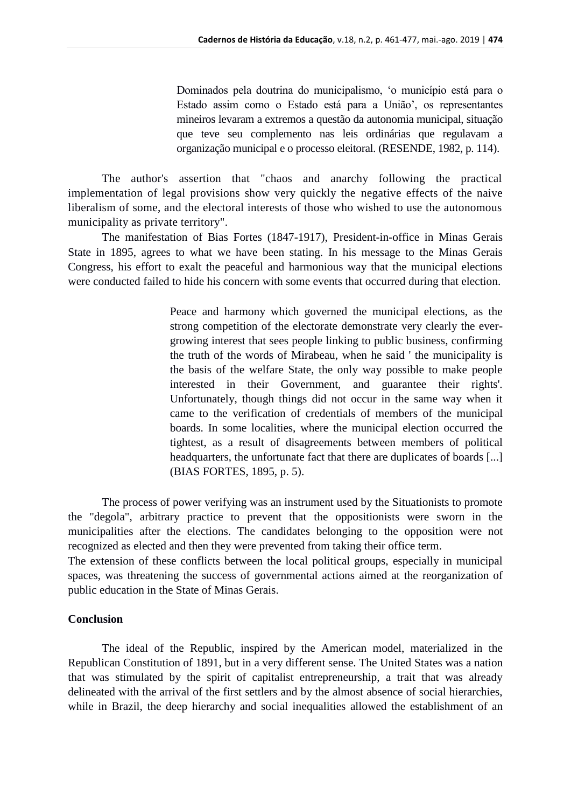Dominados pela doutrina do municipalismo, 'o município está para o Estado assim como o Estado está para a União', os representantes mineiros levaram a extremos a questão da autonomia municipal, situação que teve seu complemento nas leis ordinárias que regulavam a organização municipal e o processo eleitoral. (RESENDE, 1982, p. 114).

The author's assertion that "chaos and anarchy following the practical implementation of legal provisions show very quickly the negative effects of the naive liberalism of some, and the electoral interests of those who wished to use the autonomous municipality as private territory".

The manifestation of Bias Fortes (1847-1917), President-in-office in Minas Gerais State in 1895, agrees to what we have been stating. In his message to the Minas Gerais Congress, his effort to exalt the peaceful and harmonious way that the municipal elections were conducted failed to hide his concern with some events that occurred during that election.

> Peace and harmony which governed the municipal elections, as the strong competition of the electorate demonstrate very clearly the evergrowing interest that sees people linking to public business, confirming the truth of the words of Mirabeau, when he said ' the municipality is the basis of the welfare State, the only way possible to make people interested in their Government, and guarantee their rights'. Unfortunately, though things did not occur in the same way when it came to the verification of credentials of members of the municipal boards. In some localities, where the municipal election occurred the tightest, as a result of disagreements between members of political headquarters, the unfortunate fact that there are duplicates of boards [...] (BIAS FORTES, 1895, p. 5).

The process of power verifying was an instrument used by the Situationists to promote the "degola", arbitrary practice to prevent that the oppositionists were sworn in the municipalities after the elections. The candidates belonging to the opposition were not recognized as elected and then they were prevented from taking their office term.

The extension of these conflicts between the local political groups, especially in municipal spaces, was threatening the success of governmental actions aimed at the reorganization of public education in the State of Minas Gerais.

# **Conclusion**

The ideal of the Republic, inspired by the American model, materialized in the Republican Constitution of 1891, but in a very different sense. The United States was a nation that was stimulated by the spirit of capitalist entrepreneurship, a trait that was already delineated with the arrival of the first settlers and by the almost absence of social hierarchies, while in Brazil, the deep hierarchy and social inequalities allowed the establishment of an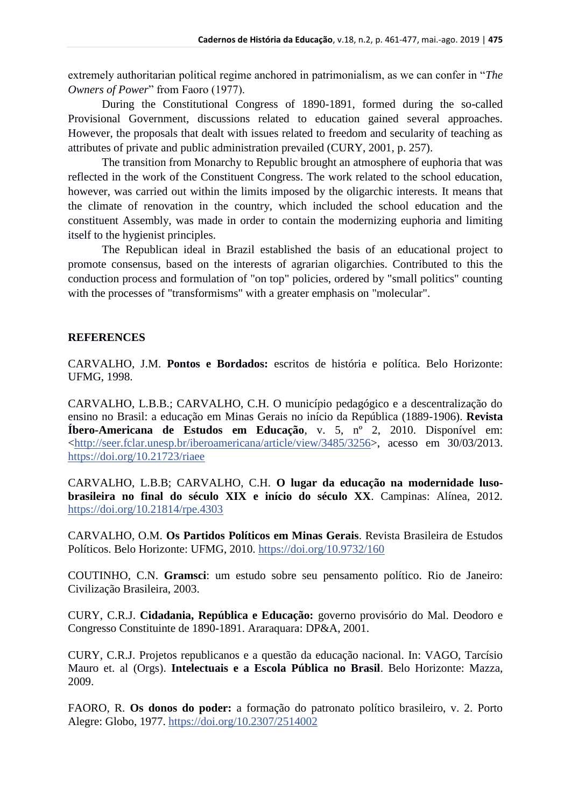extremely authoritarian political regime anchored in patrimonialism, as we can confer in "*The Owners of Power*" from Faoro (1977).

During the Constitutional Congress of 1890-1891, formed during the so-called Provisional Government, discussions related to education gained several approaches. However, the proposals that dealt with issues related to freedom and secularity of teaching as attributes of private and public administration prevailed (CURY, 2001, p. 257).

The transition from Monarchy to Republic brought an atmosphere of euphoria that was reflected in the work of the Constituent Congress. The work related to the school education, however, was carried out within the limits imposed by the oligarchic interests. It means that the climate of renovation in the country, which included the school education and the constituent Assembly, was made in order to contain the modernizing euphoria and limiting itself to the hygienist principles.

The Republican ideal in Brazil established the basis of an educational project to promote consensus, based on the interests of agrarian oligarchies. Contributed to this the conduction process and formulation of "on top" policies, ordered by "small politics" counting with the processes of "transformisms" with a greater emphasis on "molecular".

### **REFERENCES**

CARVALHO, J.M. **Pontos e Bordados:** escritos de história e política. Belo Horizonte: UFMG, 1998.

CARVALHO, L.B.B.; CARVALHO, C.H. O município pedagógico e a descentralização do ensino no Brasil: a educação em Minas Gerais no início da República (1889-1906). **Revista Íbero-Americana de Estudos em Educação**, v. 5, nº 2, 2010. Disponível em: [<http://seer.fclar.unesp.br/iberoamericana/article/view/3485/3256>](http://seer.fclar.unesp.br/iberoamericana/article/view/3485/3256), acesso em 30/03/2013. <https://doi.org/10.21723/riaee>

CARVALHO, L.B.B; CARVALHO, C.H. **O lugar da educação na modernidade lusobrasileira no final do século XIX e início do século XX**. Campinas: Alínea, 2012. <https://doi.org/10.21814/rpe.4303>

CARVALHO, O.M. **Os Partidos Políticos em Minas Gerais**. Revista Brasileira de Estudos Políticos. Belo Horizonte: UFMG, 2010. <https://doi.org/10.9732/160>

COUTINHO, C.N. **Gramsci**: um estudo sobre seu pensamento político. Rio de Janeiro: Civilização Brasileira, 2003.

CURY, C.R.J. **Cidadania, República e Educação:** governo provisório do Mal. Deodoro e Congresso Constituinte de 1890-1891. Araraquara: DP&A, 2001.

CURY, C.R.J. Projetos republicanos e a questão da educação nacional. In: VAGO, Tarcísio Mauro et. al (Orgs). **Intelectuais e a Escola Pública no Brasil**. Belo Horizonte: Mazza, 2009.

FAORO, R. **Os donos do poder:** a formação do patronato político brasileiro, v. 2. Porto Alegre: Globo, 1977.<https://doi.org/10.2307/2514002>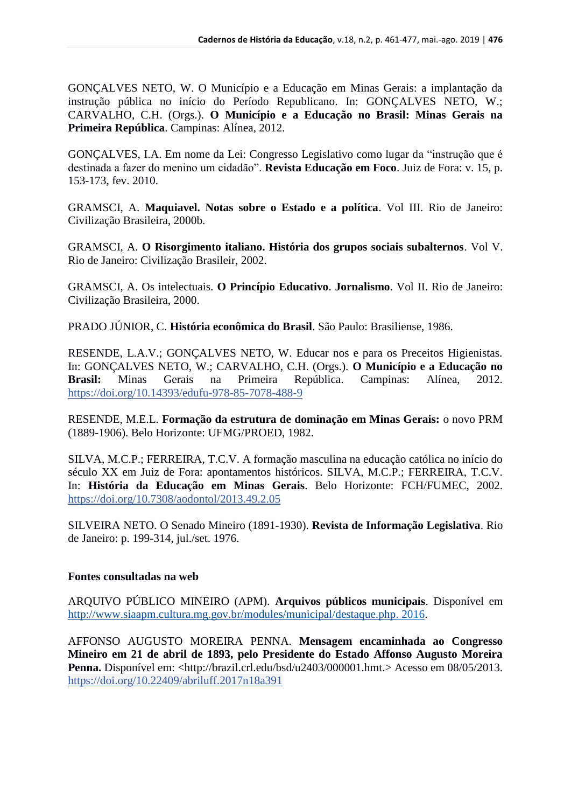GONÇALVES NETO, W. O Município e a Educação em Minas Gerais: a implantação da instrução pública no início do Período Republicano. In: GONÇALVES NETO, W.; CARVALHO, C.H. (Orgs.). **O Município e a Educação no Brasil: Minas Gerais na Primeira República**. Campinas: Alínea, 2012.

GONÇALVES, I.A. Em nome da Lei: Congresso Legislativo como lugar da "instrução que é destinada a fazer do menino um cidadão". **Revista Educação em Foco**. Juiz de Fora: v. 15, p. 153-173, fev. 2010.

GRAMSCI, A. **Maquiavel. Notas sobre o Estado e a política**. Vol III. Rio de Janeiro: Civilização Brasileira, 2000b.

GRAMSCI, A. **O Risorgimento italiano. História dos grupos sociais subalternos**. Vol V. Rio de Janeiro: Civilização Brasileir, 2002.

GRAMSCI, A. Os intelectuais. **O Princípio Educativo**. **Jornalismo**. Vol II. Rio de Janeiro: Civilização Brasileira, 2000.

PRADO JÚNIOR, C. **História econômica do Brasil**. São Paulo: Brasiliense, 1986.

RESENDE, L.A.V.; GONÇALVES NETO, W. Educar nos e para os Preceitos Higienistas. In: GONÇALVES NETO, W.; CARVALHO, C.H. (Orgs.). **O Município e a Educação no Brasil:** Minas Gerais na Primeira República. Campinas: Alínea, 2012. <https://doi.org/10.14393/edufu-978-85-7078-488-9>

RESENDE, M.E.L. **Formação da estrutura de dominação em Minas Gerais:** o novo PRM (1889-1906). Belo Horizonte: UFMG/PROED, 1982.

SILVA, M.C.P.; FERREIRA, T.C.V. A formação masculina na educação católica no início do século XX em Juiz de Fora: apontamentos históricos. SILVA, M.C.P.; FERREIRA, T.C.V. In: **História da Educação em Minas Gerais**. Belo Horizonte: FCH/FUMEC, 2002. <https://doi.org/10.7308/aodontol/2013.49.2.05>

SILVEIRA NETO. O Senado Mineiro (1891-1930). **Revista de Informação Legislativa**. Rio de Janeiro: p. 199-314, jul./set. 1976.

# **Fontes consultadas na web**

ARQUIVO PÚBLICO MINEIRO (APM). **Arquivos públicos municipais**. Disponível em [http://www.siaapm.cultura.mg.gov.br/modules/municipal/destaque.php. 2016.](http://www.siaapm.cultura.mg.gov.br/modules/municipal/destaque.php.%202016)

AFFONSO AUGUSTO MOREIRA PENNA. **Mensagem encaminhada ao Congresso Mineiro em 21 de abril de 1893, pelo Presidente do Estado Affonso Augusto Moreira Penna.** Disponível em: <http://brazil.crl.edu/bsd/u2403/000001.hmt.> Acesso em 08/05/2013. <https://doi.org/10.22409/abriluff.2017n18a391>